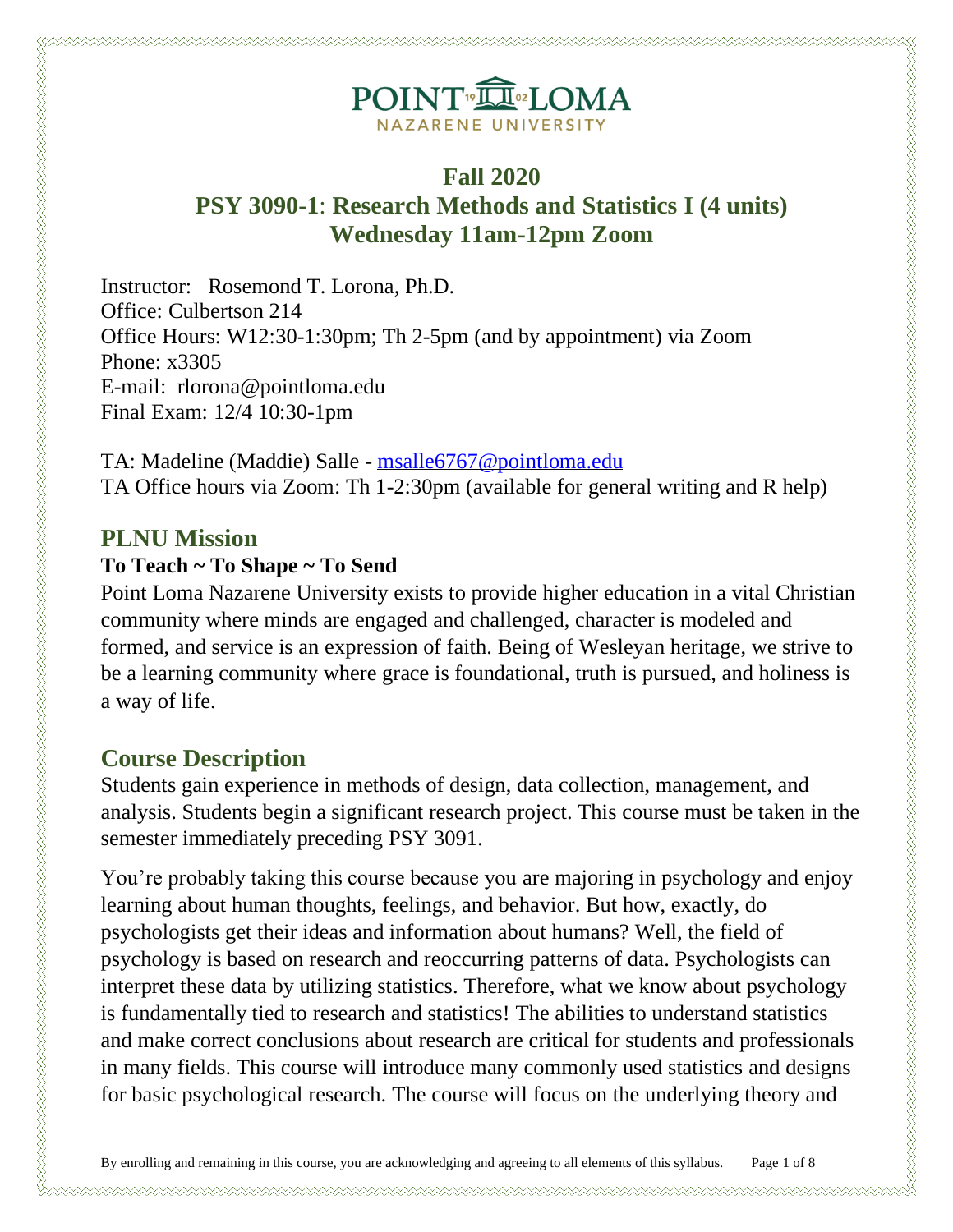# POINT<sup>®</sup>ILOMA NAZARENE UNIVERSITY

## **Fall 2020**

# **PSY 3090-1**: **Research Methods and Statistics I (4 units) Wednesday 11am-12pm Zoom**

Instructor: Rosemond T. Lorona, Ph.D. Office: Culbertson 214 Office Hours: W12:30-1:30pm; Th 2-5pm (and by appointment) via Zoom Phone: x3305 E-mail: rlorona@pointloma.edu Final Exam: 12/4 10:30-1pm

TA: Madeline (Maddie) Salle - [msalle6767@pointloma.edu](mailto:msalle6767@pointloma.edu) TA Office hours via Zoom: Th 1-2:30pm (available for general writing and R help)

### **PLNU Mission**

### **To Teach ~ To Shape ~ To Send**

Point Loma Nazarene University exists to provide higher education in a vital Christian community where minds are engaged and challenged, character is modeled and formed, and service is an expression of faith. Being of Wesleyan heritage, we strive to be a learning community where grace is foundational, truth is pursued, and holiness is a way of life.

## **Course Description**

Students gain experience in methods of design, data collection, management, and analysis. Students begin a significant research project. This course must be taken in the semester immediately preceding PSY 3091.

You're probably taking this course because you are majoring in psychology and enjoy learning about human thoughts, feelings, and behavior. But how, exactly, do psychologists get their ideas and information about humans? Well, the field of psychology is based on research and reoccurring patterns of data. Psychologists can interpret these data by utilizing statistics. Therefore, what we know about psychology is fundamentally tied to research and statistics! The abilities to understand statistics and make correct conclusions about research are critical for students and professionals in many fields. This course will introduce many commonly used statistics and designs for basic psychological research. The course will focus on the underlying theory and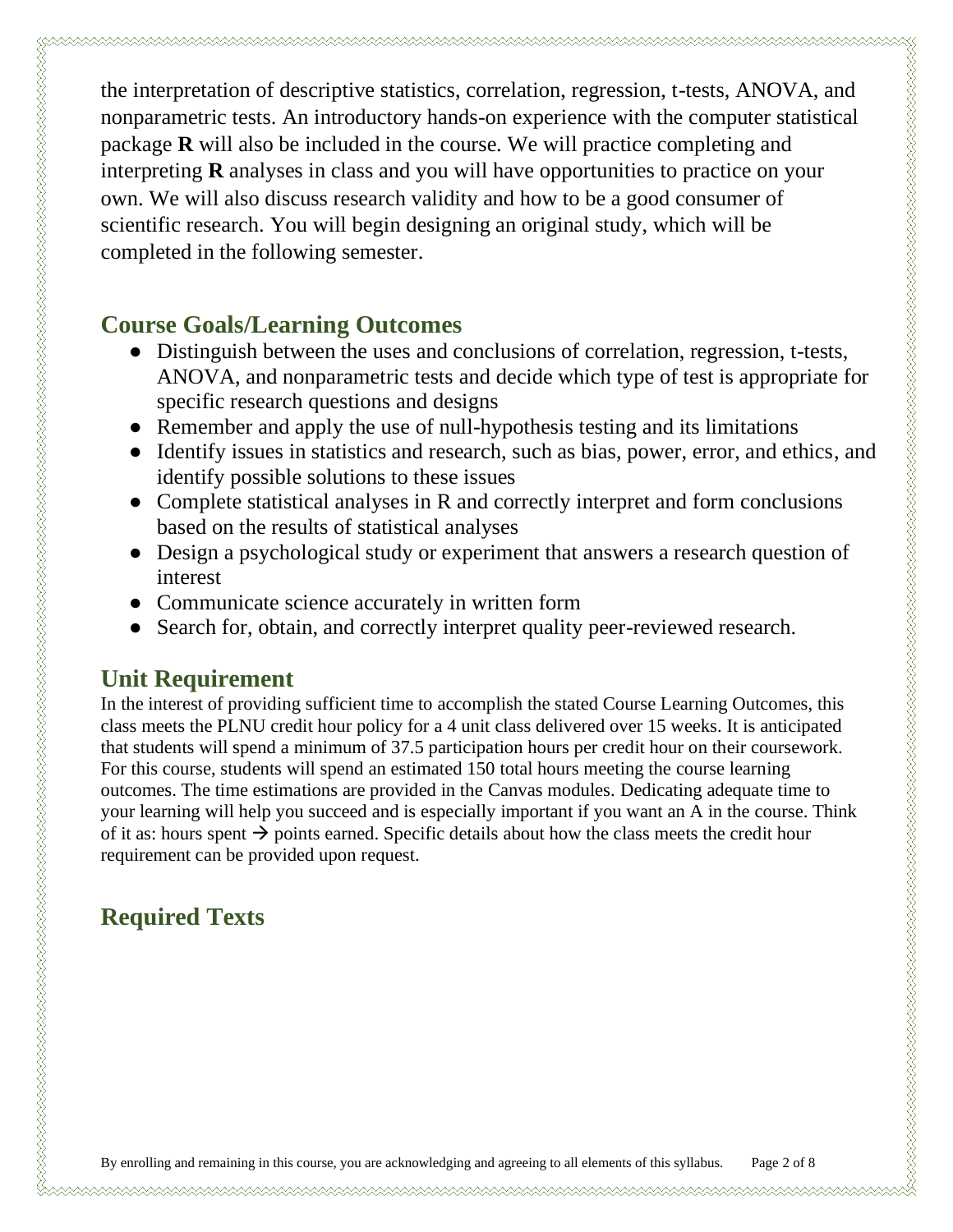the interpretation of descriptive statistics, correlation, regression, t-tests, ANOVA, and nonparametric tests. An introductory hands-on experience with the computer statistical package **R** will also be included in the course. We will practice completing and interpreting **R** analyses in class and you will have opportunities to practice on your own. We will also discuss research validity and how to be a good consumer of scientific research. You will begin designing an original study, which will be completed in the following semester.

## **Course Goals/Learning Outcomes**

- Distinguish between the uses and conclusions of correlation, regression, t-tests, ANOVA, and nonparametric tests and decide which type of test is appropriate for specific research questions and designs
- Remember and apply the use of null-hypothesis testing and its limitations
- Identify issues in statistics and research, such as bias, power, error, and ethics, and identify possible solutions to these issues
- Complete statistical analyses in R and correctly interpret and form conclusions based on the results of statistical analyses
- Design a psychological study or experiment that answers a research question of interest

- Communicate science accurately in written form
- Search for, obtain, and correctly interpret quality peer-reviewed research.

# **Unit Requirement**

u waa dhaqaa waxaa waxaa waxaa waxay waxay waxay waxay waxay waxay waxay waxay waxay waxay waxay waxay waxay wa

In the interest of providing sufficient time to accomplish the stated Course Learning Outcomes, this class meets the PLNU credit hour policy for a 4 unit class delivered over 15 weeks. It is anticipated that students will spend a minimum of 37.5 participation hours per credit hour on their coursework. For this course, students will spend an estimated 150 total hours meeting the course learning outcomes. The time estimations are provided in the Canvas modules. Dedicating adequate time to your learning will help you succeed and is especially important if you want an A in the course. Think of it as: hours spent  $\rightarrow$  points earned. Specific details about how the class meets the credit hour requirement can be provided upon request.

# **Required Texts**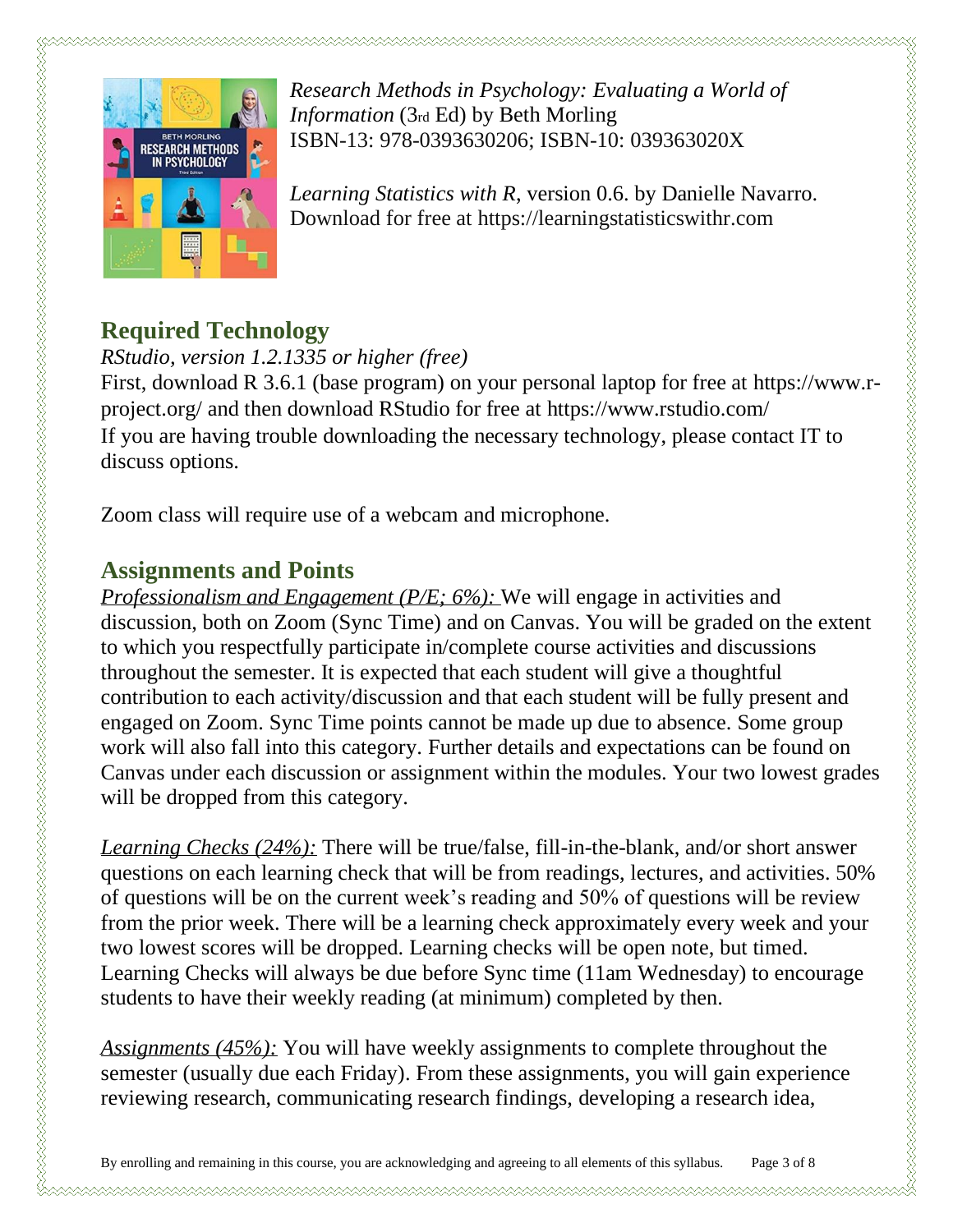

*Research Methods in Psychology: Evaluating a World of Information* (3rd Ed) by Beth Morling ISBN-13: 978-0393630206; ISBN-10: 039363020X

*Learning Statistics with R*, version 0.6. by Danielle Navarro. Download for free at https://learningstatisticswithr.com

## **Required Technology**

*RStudio, version 1.2.1335 or higher (free)*

First, download R 3.6.1 (base program) on your personal laptop for free at https://www.rproject.org/ and then download RStudio for free at https://www.rstudio.com/ If you are having trouble downloading the necessary technology, please contact IT to discuss options.

Zoom class will require use of a webcam and microphone.

## **Assignments and Points**

*Professionalism and Engagement (P/E; 6%):* We will engage in activities and discussion, both on Zoom (Sync Time) and on Canvas. You will be graded on the extent to which you respectfully participate in/complete course activities and discussions throughout the semester. It is expected that each student will give a thoughtful contribution to each activity/discussion and that each student will be fully present and engaged on Zoom. Sync Time points cannot be made up due to absence. Some group work will also fall into this category. Further details and expectations can be found on Canvas under each discussion or assignment within the modules. Your two lowest grades will be dropped from this category.

*Learning Checks (24%):* There will be true/false, fill-in-the-blank, and/or short answer questions on each learning check that will be from readings, lectures, and activities. 50% of questions will be on the current week's reading and 50% of questions will be review from the prior week. There will be a learning check approximately every week and your two lowest scores will be dropped. Learning checks will be open note, but timed. Learning Checks will always be due before Sync time (11am Wednesday) to encourage students to have their weekly reading (at minimum) completed by then.

*Assignments (45%):* You will have weekly assignments to complete throughout the semester (usually due each Friday). From these assignments, you will gain experience reviewing research, communicating research findings, developing a research idea,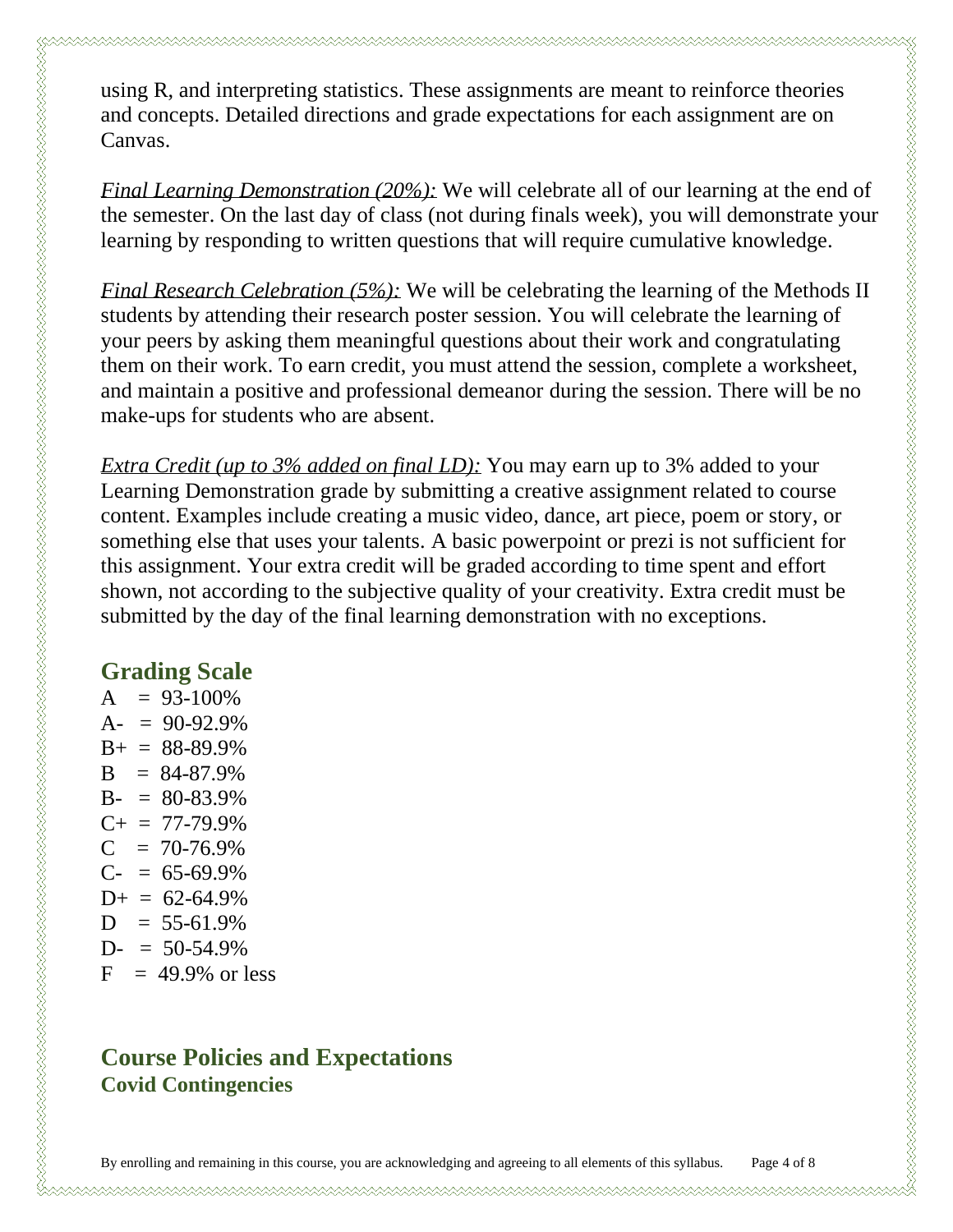using R, and interpreting statistics. These assignments are meant to reinforce theories and concepts. Detailed directions and grade expectations for each assignment are on Canvas.

*Final Learning Demonstration* (20%): We will celebrate all of our learning at the end of the semester. On the last day of class (not during finals week), you will demonstrate your learning by responding to written questions that will require cumulative knowledge.

*Final Research Celebration (5%):* We will be celebrating the learning of the Methods II students by attending their research poster session. You will celebrate the learning of your peers by asking them meaningful questions about their work and congratulating them on their work. To earn credit, you must attend the session, complete a worksheet, and maintain a positive and professional demeanor during the session. There will be no make-ups for students who are absent.

*Extra Credit (up to 3% added on final LD)*: You may earn up to 3% added to your Learning Demonstration grade by submitting a creative assignment related to course content. Examples include creating a music video, dance, art piece, poem or story, or something else that uses your talents. A basic powerpoint or prezi is not sufficient for this assignment. Your extra credit will be graded according to time spent and effort shown, not according to the subjective quality of your creativity. Extra credit must be submitted by the day of the final learning demonstration with no exceptions.

#### **Grading Scale**

 $A = 93-100\%$  $A = 90-92.9%$  $B_{+} = 88 - 89.9\%$  $B = 84-87.9%$  $B- = 80-83.9%$  $C_{+}$  = 77-79.9%  $C = 70-76.9\%$  $C- = 65-69.9%$  $D_{+} = 62 - 64.9\%$  $D = 55-61.9%$  $D = 50-54.9%$  $F = 49.9\%$  or less

## **Course Policies and Expectations Covid Contingencies**

By enrolling and remaining in this course, you are acknowledging and agreeing to all elements of this syllabus. Page 4 of 8

u waxaa waxaa waxaa waxaa waxaa waxaa waxaa waxaa waxaa waxaa waxaa waxaa waxaa waxaa waxaa waxaa waxaa waxaa w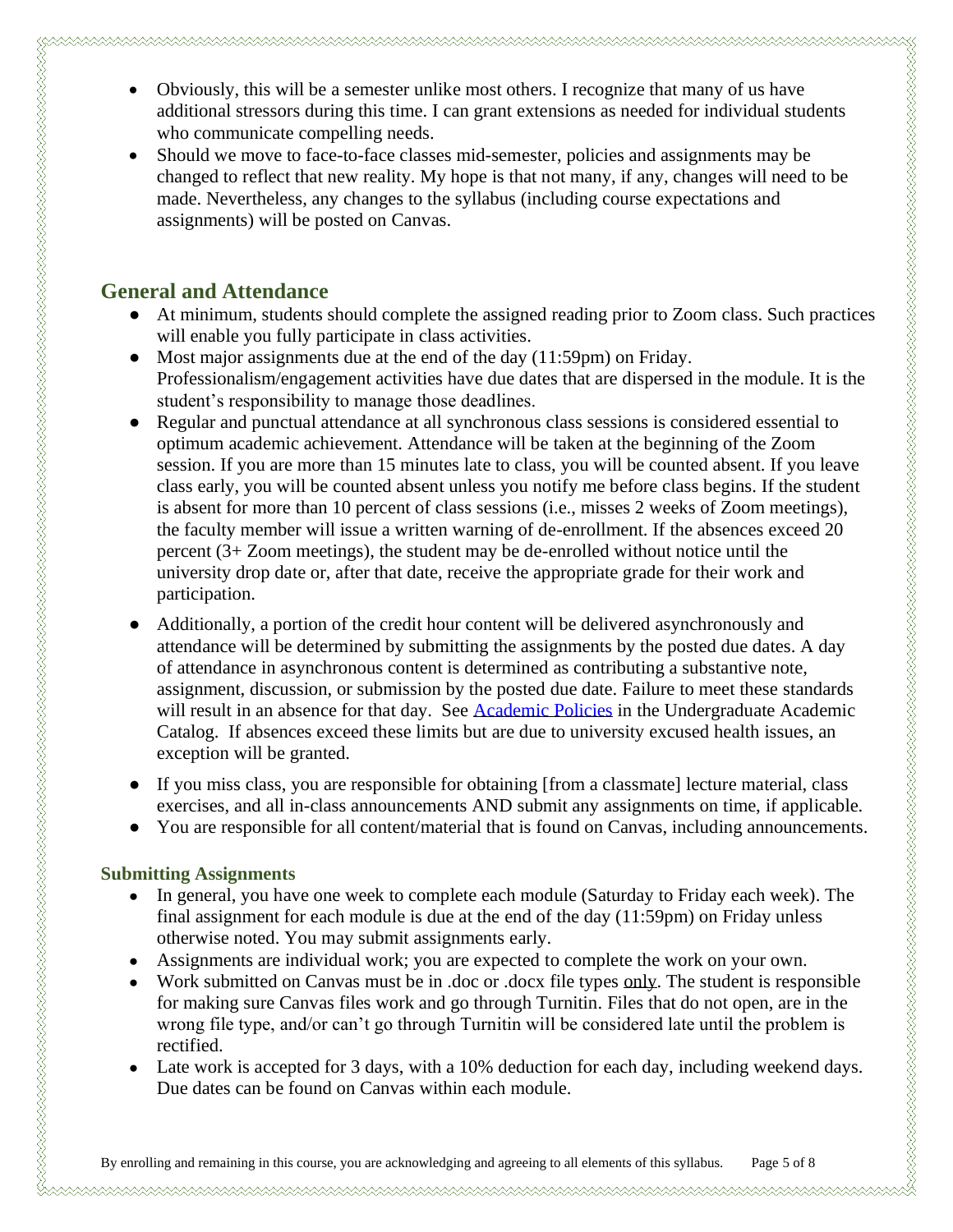- Obviously, this will be a semester unlike most others. I recognize that many of us have additional stressors during this time. I can grant extensions as needed for individual students who communicate compelling needs.
- Should we move to face-to-face classes mid-semester, policies and assignments may be changed to reflect that new reality. My hope is that not many, if any, changes will need to be made. Nevertheless, any changes to the syllabus (including course expectations and assignments) will be posted on Canvas.

#### **General and Attendance**

- At minimum, students should complete the assigned reading prior to Zoom class. Such practices will enable you fully participate in class activities.
- Most major assignments due at the end of the day (11:59pm) on Friday. Professionalism/engagement activities have due dates that are dispersed in the module. It is the student's responsibility to manage those deadlines.
- Regular and punctual attendance at all synchronous class sessions is considered essential to optimum academic achievement. Attendance will be taken at the beginning of the Zoom session. If you are more than 15 minutes late to class, you will be counted absent. If you leave class early, you will be counted absent unless you notify me before class begins. If the student is absent for more than 10 percent of class sessions (i.e., misses 2 weeks of Zoom meetings), the faculty member will issue a written warning of de-enrollment. If the absences exceed 20 percent (3+ Zoom meetings), the student may be de-enrolled without notice until the university drop date or, after that date, receive the appropriate grade for their work and participation.
- Additionally, a portion of the credit hour content will be delivered asynchronously and attendance will be determined by submitting the assignments by the posted due dates. A day of attendance in asynchronous content is determined as contributing a substantive note, assignment, discussion, or submission by the posted due date. Failure to meet these standards will result in an absence for that day. See [Academic Policies](https://catalog.pointloma.edu/content.php?catoid=46&navoid=2650#Class_Attendance) in the Undergraduate Academic Catalog. If absences exceed these limits but are due to university excused health issues, an exception will be granted.
- If you miss class, you are responsible for obtaining [from a classmate] lecture material, class exercises, and all in-class announcements AND submit any assignments on time, if applicable.
- You are responsible for all content/material that is found on Canvas, including announcements.

#### **Submitting Assignments**

- In general, you have one week to complete each module (Saturday to Friday each week). The final assignment for each module is due at the end of the day (11:59pm) on Friday unless otherwise noted. You may submit assignments early.
- Assignments are individual work; you are expected to complete the work on your own.
- Work submitted on Canvas must be in .doc or .docx file types only. The student is responsible for making sure Canvas files work and go through Turnitin. Files that do not open, are in the wrong file type, and/or can't go through Turnitin will be considered late until the problem is rectified.
- Late work is accepted for 3 days, with a 10% deduction for each day, including weekend days. Due dates can be found on Canvas within each module.

u waxaa waxaa waxaa waxaa waxaa waxaa waxaa waxaa waxaa waxaa waxaa waxaa waxaa waxaa waxaa waxaa waxaa waxaa w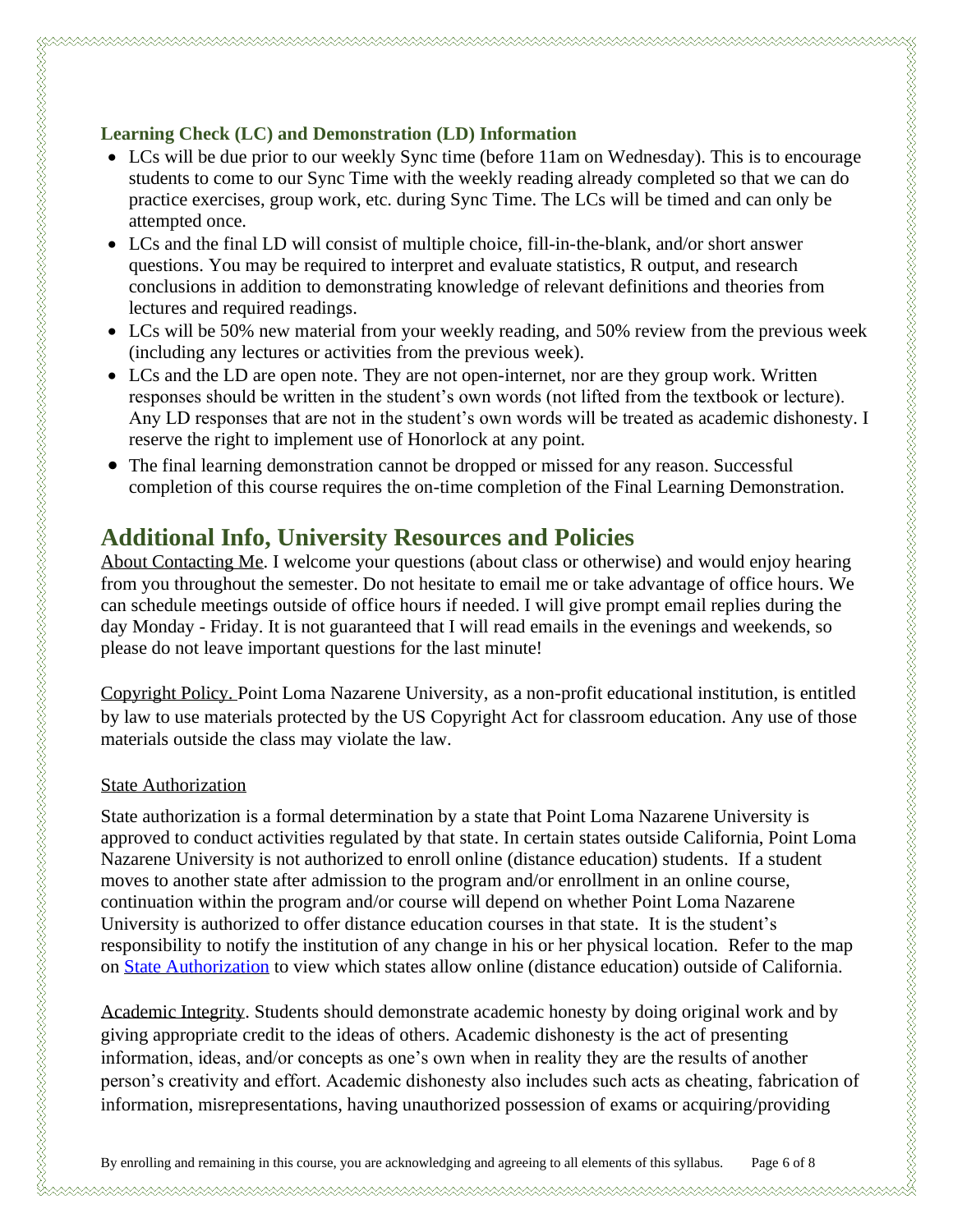#### **Learning Check (LC) and Demonstration (LD) Information**

- LCs will be due prior to our weekly Sync time (before 11am on Wednesday). This is to encourage students to come to our Sync Time with the weekly reading already completed so that we can do practice exercises, group work, etc. during Sync Time. The LCs will be timed and can only be attempted once.
- LCs and the final LD will consist of multiple choice, fill-in-the-blank, and/or short answer questions. You may be required to interpret and evaluate statistics, R output, and research conclusions in addition to demonstrating knowledge of relevant definitions and theories from lectures and required readings.
- LCs will be 50% new material from your weekly reading, and 50% review from the previous week (including any lectures or activities from the previous week).
- LCs and the LD are open note. They are not open-internet, nor are they group work. Written responses should be written in the student's own words (not lifted from the textbook or lecture). Any LD responses that are not in the student's own words will be treated as academic dishonesty. I reserve the right to implement use of Honorlock at any point.
- The final learning demonstration cannot be dropped or missed for any reason. Successful completion of this course requires the on-time completion of the Final Learning Demonstration.

### **Additional Info, University Resources and Policies**

About Contacting Me. I welcome your questions (about class or otherwise) and would enjoy hearing from you throughout the semester. Do not hesitate to email me or take advantage of office hours. We can schedule meetings outside of office hours if needed. I will give prompt email replies during the day Monday - Friday. It is not guaranteed that I will read emails in the evenings and weekends, so please do not leave important questions for the last minute!

Copyright Policy. Point Loma Nazarene University, as a non-profit educational institution, is entitled by law to use materials protected by the US Copyright Act for classroom education. Any use of those materials outside the class may violate the law.

#### State Authorization

State authorization is a formal determination by a state that Point Loma Nazarene University is approved to conduct activities regulated by that state. In certain states outside California, Point Loma Nazarene University is not authorized to enroll online (distance education) students. If a student moves to another state after admission to the program and/or enrollment in an online course, continuation within the program and/or course will depend on whether Point Loma Nazarene University is authorized to offer distance education courses in that state. It is the student's responsibility to notify the institution of any change in his or her physical location. Refer to the map on [State Authorization](https://www.pointloma.edu/offices/office-institutional-effectiveness-research/disclosures) to view which states allow online (distance education) outside of California.

Academic Integrity. Students should demonstrate academic honesty by doing original work and by giving appropriate credit to the ideas of others. Academic dishonesty is the act of presenting information, ideas, and/or concepts as one's own when in reality they are the results of another person's creativity and effort. Academic dishonesty also includes such acts as cheating, fabrication of information, misrepresentations, having unauthorized possession of exams or acquiring/providing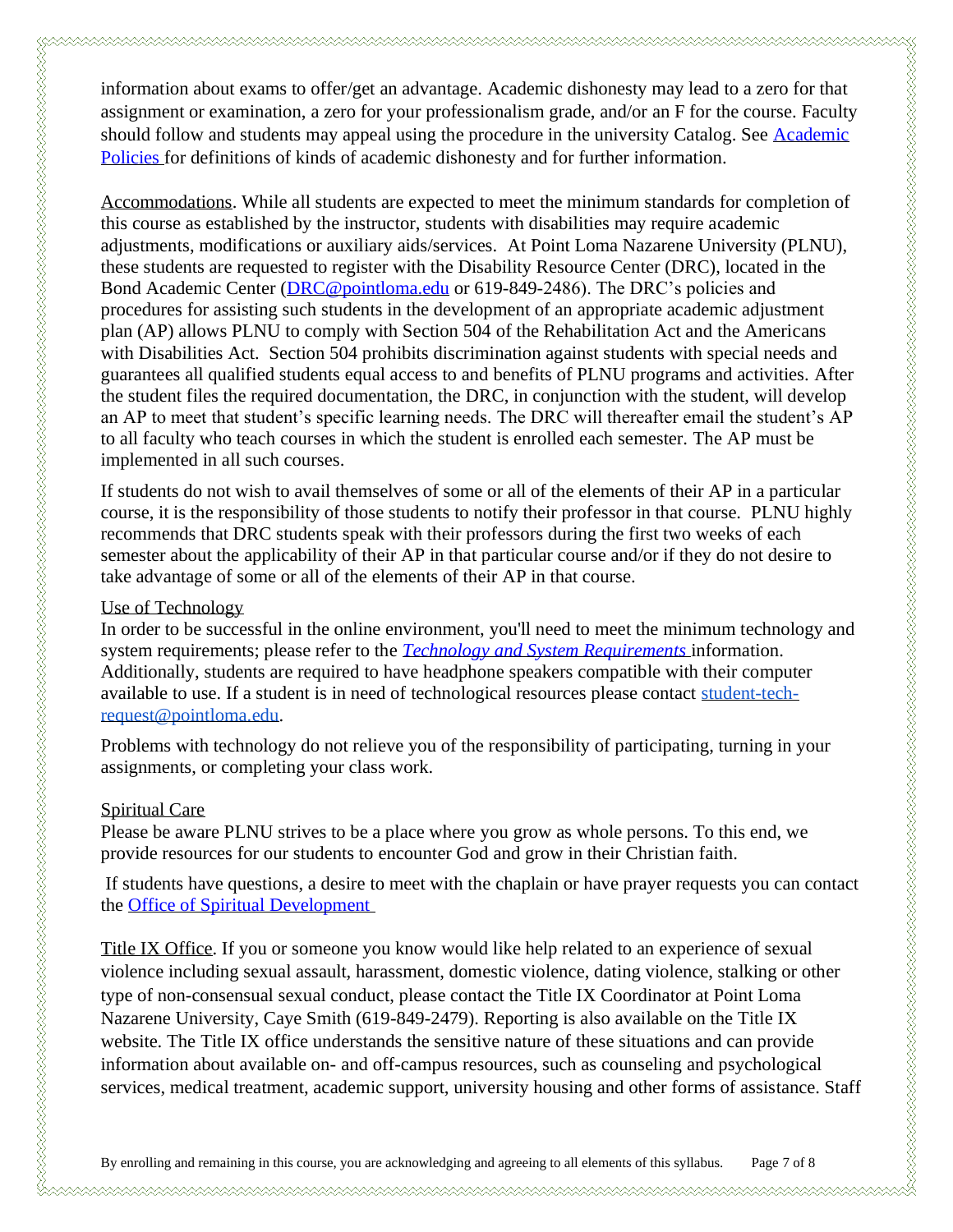information about exams to offer/get an advantage. Academic dishonesty may lead to a zero for that assignment or examination, a zero for your professionalism grade, and/or an F for the course. Faculty should follow and students may appeal using the procedure in the university Catalog. See Academic [Policies](http://catalog.pointloma.edu/content.php?catoid=18&navoid=1278) for definitions of kinds of academic dishonesty and for further information.

Accommodations. While all students are expected to meet the minimum standards for completion of this course as established by the instructor, students with disabilities may require academic adjustments, modifications or auxiliary aids/services. At Point Loma Nazarene University (PLNU), these students are requested to register with the Disability Resource Center (DRC), located in the Bond Academic Center [\(DRC@pointloma.edu](mailto:DRC@pointloma.edu) or 619-849-2486). The DRC's policies and procedures for assisting such students in the development of an appropriate academic adjustment plan (AP) allows PLNU to comply with Section 504 of the Rehabilitation Act and the Americans with Disabilities Act. Section 504 prohibits discrimination against students with special needs and guarantees all qualified students equal access to and benefits of PLNU programs and activities. After the student files the required documentation, the DRC, in conjunction with the student, will develop an AP to meet that student's specific learning needs. The DRC will thereafter email the student's AP to all faculty who teach courses in which the student is enrolled each semester. The AP must be implemented in all such courses.

If students do not wish to avail themselves of some or all of the elements of their AP in a particular course, it is the responsibility of those students to notify their professor in that course. PLNU highly recommends that DRC students speak with their professors during the first two weeks of each semester about the applicability of their AP in that particular course and/or if they do not desire to take advantage of some or all of the elements of their AP in that course.

#### Use of Technology

In order to be successful in the online environment, you'll need to meet the minimum technology and system requirements; please refer to the *[Technology and System Requirements](https://help.pointloma.edu/TDClient/1808/Portal/KB/ArticleDet?ID=108349)* information. Additionally, students are required to have headphone speakers compatible with their computer available to use. If a student is in need of technological resources please contact [student-tech](mailto:student-tech-request@pointloma.edu)[request@pointloma.edu.](mailto:student-tech-request@pointloma.edu)

Problems with technology do not relieve you of the responsibility of participating, turning in your assignments, or completing your class work.

#### Spiritual Care

Please be aware PLNU strives to be a place where you grow as whole persons. To this end, we provide resources for our students to encounter God and grow in their Christian faith.

If students have questions, a desire to meet with the chaplain or have prayer requests you can contact the [Office of Spiritual Development](https://www.pointloma.edu/offices/spiritual-development)

Title IX Office. If you or someone you know would like help related to an experience of sexual violence including sexual assault, harassment, domestic violence, dating violence, stalking or other type of non-consensual sexual conduct, please contact the Title IX Coordinator at Point Loma Nazarene University, Caye Smith (619-849-2479). Reporting is also available on the Title IX website. The Title IX office understands the sensitive nature of these situations and can provide information about available on- and off-campus resources, such as counseling and psychological services, medical treatment, academic support, university housing and other forms of assistance. Staff